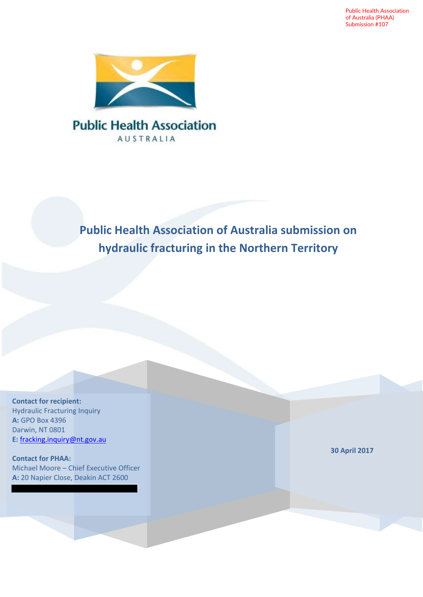Public Health Association of Australia (PHAA) Submission #107



### **Public Health Association AUSTRALIA**

### **Public Health Association of Australia submission on hydraulic fracturing in the Northern Territory**

**Contact for recipient:** Hydraulic Fracturing Inquiry **A:** GPO Box 4396 Darwin, NT 0801 **E:** [fracking.inquiry@nt.gov.au](mailto:fracking.inquiry@nt.gov.au)

**Contact for PHAA:** Michael Moore – Chief Executive Officer **A:** 20 Napier Close, Deakin ACT 2600

**30 April 2017**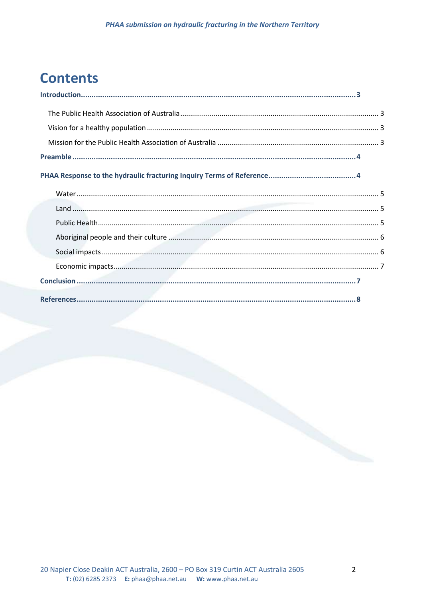# **Contents**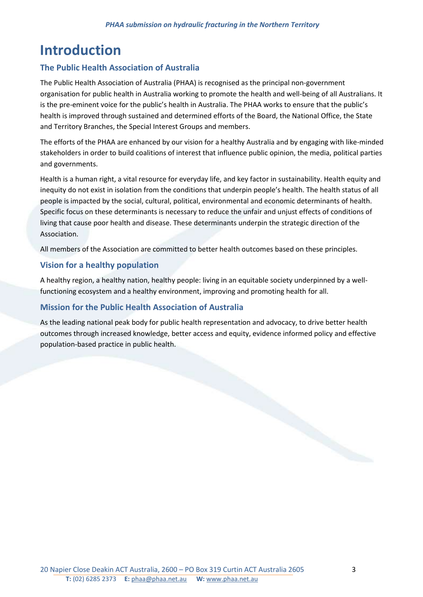# <span id="page-2-0"></span>**Introduction**

#### <span id="page-2-1"></span>**The Public Health Association of Australia**

The Public Health Association of Australia (PHAA) is recognised as the principal non-government organisation for public health in Australia working to promote the health and well-being of all Australians. It is the pre-eminent voice for the public's health in Australia. The PHAA works to ensure that the public's health is improved through sustained and determined efforts of the Board, the National Office, the State and Territory Branches, the Special Interest Groups and members.

The efforts of the PHAA are enhanced by our vision for a healthy Australia and by engaging with like-minded stakeholders in order to build coalitions of interest that influence public opinion, the media, political parties and governments.

Health is a human right, a vital resource for everyday life, and key factor in sustainability. Health equity and inequity do not exist in isolation from the conditions that underpin people's health. The health status of all people is impacted by the social, cultural, political, environmental and economic determinants of health. Specific focus on these determinants is necessary to reduce the unfair and unjust effects of conditions of living that cause poor health and disease. These determinants underpin the strategic direction of the Association.

All members of the Association are committed to better health outcomes based on these principles.

#### <span id="page-2-2"></span>**Vision for a healthy population**

A healthy region, a healthy nation, healthy people: living in an equitable society underpinned by a wellfunctioning ecosystem and a healthy environment, improving and promoting health for all.

#### <span id="page-2-3"></span>**Mission for the Public Health Association of Australia**

As the leading national peak body for public health representation and advocacy, to drive better health outcomes through increased knowledge, better access and equity, evidence informed policy and effective population-based practice in public health.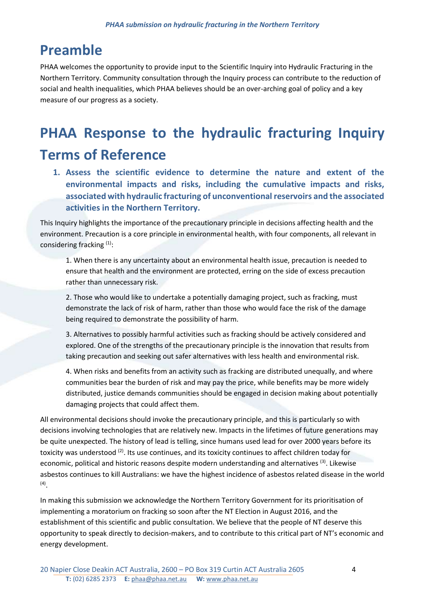## <span id="page-3-0"></span>**Preamble**

PHAA welcomes the opportunity to provide input to the Scientific Inquiry into Hydraulic Fracturing in the Northern Territory. Community consultation through the Inquiry process can contribute to the reduction of social and health inequalities, which PHAA believes should be an over-arching goal of policy and a key measure of our progress as a society.

# <span id="page-3-1"></span>**PHAA Response to the hydraulic fracturing Inquiry Terms of Reference**

**1. Assess the scientific evidence to determine the nature and extent of the environmental impacts and risks, including the cumulative impacts and risks, associated with hydraulic fracturing of unconventional reservoirs and the associated activities in the Northern Territory.**

This Inquiry highlights the importance of the precautionary principle in decisions affecting health and the environment. Precaution is a core principle in environmental health, with four components, all relevant in considering fracking [\(1\)](#page-7-1):

1. When there is any uncertainty about an environmental health issue, precaution is needed to ensure that health and the environment are protected, erring on the side of excess precaution rather than unnecessary risk.

2. Those who would like to undertake a potentially damaging project, such as fracking, must demonstrate the lack of risk of harm, rather than those who would face the risk of the damage being required to demonstrate the possibility of harm.

3. Alternatives to possibly harmful activities such as fracking should be actively considered and explored. One of the strengths of the precautionary principle is the innovation that results from taking precaution and seeking out safer alternatives with less health and environmental risk.

4. When risks and benefits from an activity such as fracking are distributed unequally, and where communities bear the burden of risk and may pay the price, while benefits may be more widely distributed, justice demands communities should be engaged in decision making about potentially damaging projects that could affect them.

All environmental decisions should invoke the precautionary principle, and this is particularly so with decisions involving technologies that are relatively new. Impacts in the lifetimes of future generations may be quite unexpected. The history of lead is telling, since humans used lead for over 2000 years before its toxicity was understood <sup>[\(2\)](#page-7-2)</sup>. Its use continues, and its toxicity continues to affect children today for economic, political and historic reasons despite modern understanding and alternatives <sup>[\(3\)](#page-7-3)</sup>. Likewise asbestos continues to kill Australians: we have the highest incidence of asbestos related disease in the world [\(4\)](#page-7-4) .

In making this submission we acknowledge the Northern Territory Government for its prioritisation of implementing a moratorium on fracking so soon after the NT Election in August 2016, and the establishment of this scientific and public consultation. We believe that the people of NT deserve this opportunity to speak directly to decision-makers, and to contribute to this critical part of NT's economic and energy development.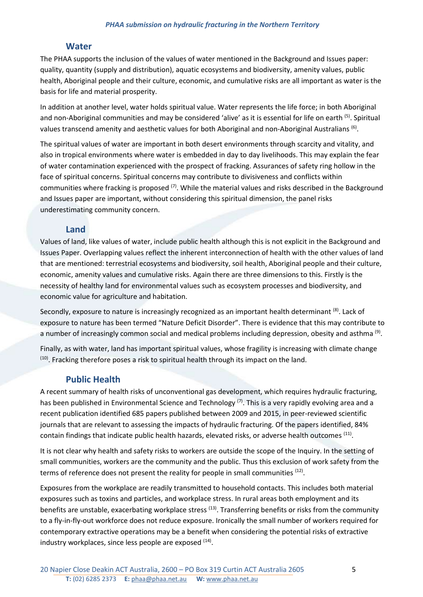#### **Water**

<span id="page-4-0"></span>The PHAA supports the inclusion of the values of water mentioned in the Background and Issues paper: quality, quantity (supply and distribution), aquatic ecosystems and biodiversity, amenity values, public health, Aboriginal people and their culture, economic, and cumulative risks are all important as water is the basis for life and material prosperity.

In addition at another level, water holds spiritual value. Water represents the life force; in both Aboriginal and non-Aboriginal communities and may be considered 'alive' as it is essential for life on earth <sup>[\(5\)](#page-7-5)</sup>. Spiritual values transcend amenity and aesthetic values for both Aboriginal and non-Aboriginal Australians [\(6\)](#page-7-6).

The spiritual values of water are important in both desert environments through scarcity and vitality, and also in tropical environments where water is embedded in day to day livelihoods. This may explain the fear of water contamination experienced with the prospect of fracking. Assurances of safety ring hollow in the face of spiritual concerns. Spiritual concerns may contribute to divisiveness and conflicts within communities where fracking is proposed <sup>[\(7\)](#page-7-7)</sup>. While the material values and risks described in the Background and Issues paper are important, without considering this spiritual dimension, the panel risks underestimating community concern.

#### **Land**

<span id="page-4-1"></span>Values of land, like values of water, include public health although this is not explicit in the Background and Issues Paper. Overlapping values reflect the inherent interconnection of health with the other values of land that are mentioned: terrestrial ecosystems and biodiversity, soil health, Aboriginal people and their culture, economic, amenity values and cumulative risks. Again there are three dimensions to this. Firstly is the necessity of healthy land for environmental values such as ecosystem processes and biodiversity, and economic value for agriculture and habitation.

Secondly, exposure to nature is increasingly recognized as an important health determinant <sup>[\(8\)](#page-7-8)</sup>. Lack of exposure to nature has been termed "Nature Deficit Disorder". There is evidence that this may contribute to a number of increasingly common social and medical problems including depression, obesity and asthma<sup>[\(9\)](#page-7-9)</sup>.

Finally, as with water, land has important spiritual values, whose fragility is increasing with climate change  $<sup>(10)</sup>$  $<sup>(10)</sup>$  $<sup>(10)</sup>$ . Fracking therefore poses a risk to spiritual health through its impact on the land.</sup>

#### **Public Health**

<span id="page-4-2"></span>A recent summary of health risks of unconventional gas development, which requires hydraulic fracturing, has been published in Environmental Science and Technology <sup>[\(7\)](#page-7-7)</sup>. This is a very rapidly evolving area and a recent publication identified 685 papers published between 2009 and 2015, in peer-reviewed scientific journals that are relevant to assessing the impacts of hydraulic fracturing. Of the papers identified, 84% contain findings that indicate public health hazards, elevated risks, or adverse health outcomes <sup>[\(11\)](#page-7-11)</sup>.

It is not clear why health and safety risks to workers are outside the scope of the Inquiry. In the setting of small communities, workers are the community and the public. Thus this exclusion of work safety from the terms of reference does not present the reality for people in small communities <sup>[\(12\)](#page-7-12)</sup>.

Exposures from the workplace are readily transmitted to household contacts. This includes both material exposures such as toxins and particles, and workplace stress. In rural areas both employment and its benefits are unstable, exacerbating workplace stress <sup>[\(13\)](#page-7-13)</sup>. Transferring benefits or risks from the community to a fly-in-fly-out workforce does not reduce exposure. Ironically the small number of workers required for contemporary extractive operations may be a benefit when considering the potential risks of extractive industry workplaces, since less people are exposed <sup>[\(14\)](#page-7-14)</sup>.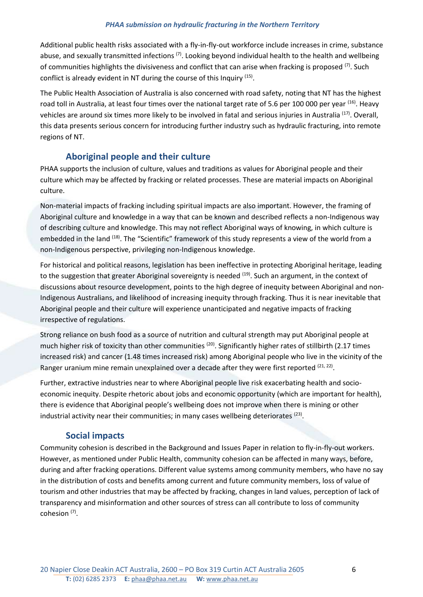#### *PHAA submission on hydraulic fracturing in the Northern Territory*

Additional public health risks associated with a fly-in-fly-out workforce include increases in crime, substance abuse, and sexually transmitted infections <sup>[\(7\)](#page-7-7)</sup>. Looking beyond individual health to the health and wellbeing of communities highlights the divisiveness and conflict that can arise when fracking is proposed [\(7\)](#page-7-7). Such conflict is already evident in NT during the course of this Inquiry <sup>[\(15\)](#page-7-15)</sup>.

The Public Health Association of Australia is also concerned with road safety, noting that NT has the highest road toll in Australia, at least four times over the national target rate of 5.6 per 100 000 per year <sup>[\(16\)](#page-7-16)</sup>. Heavy vehicles are around six times more likely to be involved in fatal and serious injuries in Australia<sup> [\(17\)](#page-7-17)</sup>. Overall, this data presents serious concern for introducing further industry such as hydraulic fracturing, into remote regions of NT.

#### **Aboriginal people and their culture**

<span id="page-5-0"></span>PHAA supports the inclusion of culture, values and traditions as values for Aboriginal people and their culture which may be affected by fracking or related processes. These are material impacts on Aboriginal culture.

Non-material impacts of fracking including spiritual impacts are also important. However, the framing of Aboriginal culture and knowledge in a way that can be known and described reflects a non-Indigenous way of describing culture and knowledge. This may not reflect Aboriginal ways of knowing, in which culture is embedded in the land <sup>[\(18\)](#page-7-18)</sup>. The "Scientific" framework of this study represents a view of the world from a non-Indigenous perspective, privileging non-Indigenous knowledge.

For historical and political reasons, legislation has been ineffective in protecting Aboriginal heritage, leading to the suggestion that greater Aboriginal sovereignty is needed <sup>[\(19\)](#page-7-19)</sup>. Such an argument, in the context of discussions about resource development, points to the high degree of inequity between Aboriginal and non-Indigenous Australians, and likelihood of increasing inequity through fracking. Thus it is near inevitable that Aboriginal people and their culture will experience unanticipated and negative impacts of fracking irrespective of regulations.

Strong reliance on bush food as a source of nutrition and cultural strength may put Aboriginal people at much higher risk of toxicity than other communities <sup>[\(20\)](#page-7-20)</sup>. Significantly higher rates of stillbirth (2.17 times increased risk) and cancer (1.48 times increased risk) among Aboriginal people who live in the vicinity of the Ranger uranium mine remain unexplained over a decade after they were first reported  $(21, 22)$  $(21, 22)$ .

Further, extractive industries near to where Aboriginal people live risk exacerbating health and socioeconomic inequity. Despite rhetoric about jobs and economic opportunity (which are important for health), there is evidence that Aboriginal people's wellbeing does not improve when there is mining or other industrial activity near their communities; in many cases wellbeing deteriorates  $^{(23)}$  $^{(23)}$  $^{(23)}$ .

#### **Social impacts**

<span id="page-5-1"></span>Community cohesion is described in the Background and Issues Paper in relation to fly-in-fly-out workers. However, as mentioned under Public Health, community cohesion can be affected in many ways, before, during and after fracking operations. Different value systems among community members, who have no say in the distribution of costs and benefits among current and future community members, loss of value of tourism and other industries that may be affected by fracking, changes in land values, perception of lack of transparency and misinformation and other sources of stress can all contribute to loss of community cohesion<sup>[\(7\)](#page-7-7)</sup>.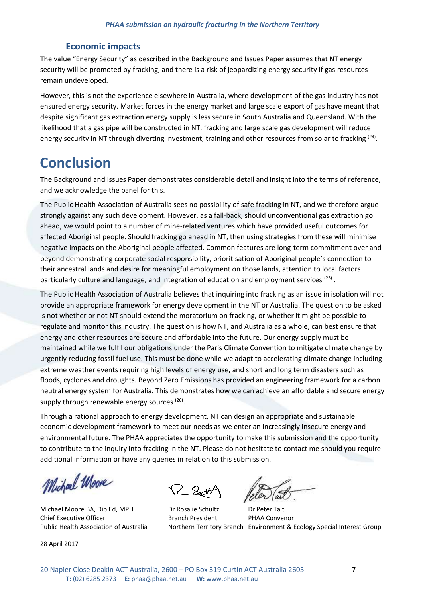#### **Economic impacts**

<span id="page-6-0"></span>The value "Energy Security" as described in the Background and Issues Paper assumes that NT energy security will be promoted by fracking, and there is a risk of jeopardizing energy security if gas resources remain undeveloped.

However, this is not the experience elsewhere in Australia, where development of the gas industry has not ensured energy security. Market forces in the energy market and large scale export of gas have meant that despite significant gas extraction energy supply is less secure in South Australia and Queensland. With the likelihood that a gas pipe will be constructed in NT, fracking and large scale gas development will reduce energy security in NT through diverting investment, training and other resources from solar to fracking <sup>[\(24\)](#page-8-1)</sup>.

### <span id="page-6-1"></span>**Conclusion**

The Background and Issues Paper demonstrates considerable detail and insight into the terms of reference, and we acknowledge the panel for this.

The Public Health Association of Australia sees no possibility of safe fracking in NT, and we therefore argue strongly against any such development. However, as a fall-back, should unconventional gas extraction go ahead, we would point to a number of mine-related ventures which have provided useful outcomes for affected Aboriginal people. Should fracking go ahead in NT, then using strategies from these will minimise negative impacts on the Aboriginal people affected. Common features are long-term commitment over and beyond demonstrating corporate social responsibility, prioritisation of Aboriginal people's connection to their ancestral lands and desire for meaningful employment on those lands, attention to local factors particularly culture and language, and integration of education and employment services <sup>[\(25\)](#page-8-2)</sup>.

The Public Health Association of Australia believes that inquiring into fracking as an issue in isolation will not provide an appropriate framework for energy development in the NT or Australia. The question to be asked is not whether or not NT should extend the moratorium on fracking, or whether it might be possible to regulate and monitor this industry. The question is how NT, and Australia as a whole, can best ensure that energy and other resources are secure and affordable into the future. Our energy supply must be maintained while we fulfil our obligations under the Paris Climate Convention to mitigate climate change by urgently reducing fossil fuel use. This must be done while we adapt to accelerating climate change including extreme weather events requiring high levels of energy use, and short and long term disasters such as floods, cyclones and droughts. Beyond Zero Emissions has provided an engineering framework for a carbon neutral energy system for Australia. This demonstrates how we can achieve an affordable and secure energy supply through renewable energy sources<sup>[\(26\)](#page-8-3)</sup>.

Through a rational approach to energy development, NT can design an appropriate and sustainable economic development framework to meet our needs as we enter an increasingly insecure energy and environmental future. The PHAA appreciates the opportunity to make this submission and the opportunity to contribute to the inquiry into fracking in the NT. Please do not hesitate to contact me should you require additional information or have any queries in relation to this submission.

Michael Moore

Michael Moore BA, Dip Ed, MPH Dr Rosalie Schultz Dr Peter Tait Chief Executive Officer The Branch President PHAA Convenor

28 April 2017

Public Health Association of Australia Northern Territory Branch Environment & Ecology Special Interest Group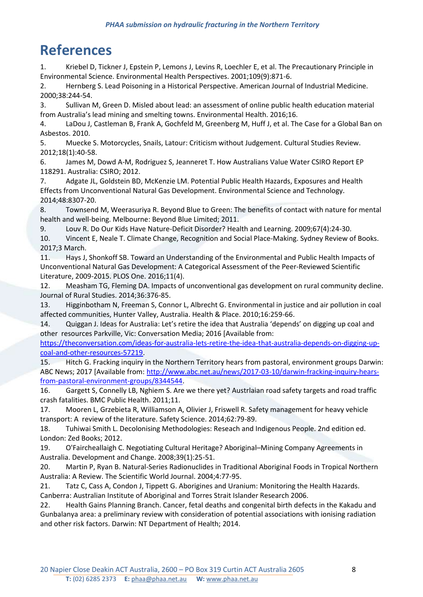# <span id="page-7-0"></span>**References**

<span id="page-7-1"></span>1. Kriebel D, Tickner J, Epstein P, Lemons J, Levins R, Loechler E, et al. The Precautionary Principle in Environmental Science. Environmental Health Perspectives. 2001;109(9):871-6.

<span id="page-7-2"></span>2. Hernberg S. Lead Poisoning in a Historical Perspective. American Journal of Industrial Medicine. 2000;38:244-54.

<span id="page-7-3"></span>3. Sullivan M, Green D. Misled about lead: an assessment of online public health education material from Australia's lead mining and smelting towns. Environmental Health. 2016;16.

<span id="page-7-4"></span>4. LaDou J, Castleman B, Frank A, Gochfeld M, Greenberg M, Huff J, et al. The Case for a Global Ban on Asbestos. 2010.

<span id="page-7-5"></span>5. Muecke S. Motorcycles, Snails, Latour: Criticism without Judgement. Cultural Studies Review. 2012;18(1):40-58.

<span id="page-7-6"></span>6. James M, Dowd A-M, Rodriguez S, Jeanneret T. How Australians Value Water CSIRO Report EP 118291. Australia: CSIRO; 2012.

<span id="page-7-7"></span>7. Adgate JL, Goldstein BD, McKenzie LM. Potential Public Health Hazards, Exposures and Health Effects from Unconventional Natural Gas Development. Environmental Science and Technology. 2014;48:8307-20.

<span id="page-7-8"></span>8. Townsend M, Weerasuriya R. Beyond Blue to Green: The benefits of contact with nature for mental health and well-being. Melbourne: Beyond Blue Limited; 2011.

<span id="page-7-9"></span>9. Louv R. Do Our Kids Have Nature-Deficit Disorder? Health and Learning. 2009;67(4):24-30.

<span id="page-7-10"></span>10. Vincent E, Neale T. Climate Change, Recognition and Social Place-Making. Sydney Review of Books. 2017;3 March.

<span id="page-7-11"></span>11. Hays J, Shonkoff SB. Toward an Understanding of the Environmental and Public Health Impacts of Unconventional Natural Gas Development: A Categorical Assessment of the Peer-Reviewed Scientific Literature, 2009-2015. PLOS One. 2016;11(4).

<span id="page-7-12"></span>12. Measham TG, Fleming DA. Impacts of unconventional gas development on rural community decline. Journal of Rural Studies. 2014;36:376-85.

<span id="page-7-13"></span>13. Higginbotham N, Freeman S, Connor L, Albrecht G. Environmental in justice and air pollution in coal affected communities, Hunter Valley, Australia. Health & Place. 2010;16:259-66.

<span id="page-7-14"></span>14. Quiggan J. Ideas for Australia: Let's retire the idea that Australia 'depends' on digging up coal and other resources Parkville, Vic: Conversation Media; 2016 [Available from:

[https://theconversation.com/ideas-for-australia-lets-retire-the-idea-that-australia-depends-on-digging-up](https://theconversation.com/ideas-for-australia-lets-retire-the-idea-that-australia-depends-on-digging-up-coal-and-other-resources-57219)[coal-and-other-resources-57219.](https://theconversation.com/ideas-for-australia-lets-retire-the-idea-that-australia-depends-on-digging-up-coal-and-other-resources-57219)

<span id="page-7-15"></span>15. Hitch G. Fracking inquiry in the Northern Territory hears from pastoral, environment groups Darwin: ABC News; 2017 [Available from: [http://www.abc.net.au/news/2017-03-10/darwin-fracking-inquiry-hears](http://www.abc.net.au/news/2017-03-10/darwin-fracking-inquiry-hears-from-pastoral-environment-groups/8344544)[from-pastoral-environment-groups/8344544.](http://www.abc.net.au/news/2017-03-10/darwin-fracking-inquiry-hears-from-pastoral-environment-groups/8344544)

<span id="page-7-16"></span>16. Gargett S, Connelly LB, Nghiem S. Are we there yet? Austrlaian road safety targets and road traffic crash fatalities. BMC Public Health. 2011;11.

<span id="page-7-17"></span>17. Mooren L, Grzebieta R, Williamson A, Olivier J, Friswell R. Safety management for heavy vehicle transport: A review of the literature. Safety Science. 2014;62:79-89.

<span id="page-7-18"></span>18. Tuhiwai Smith L. Decolonising Methodologies: Reseach and Indigenous People. 2nd edition ed. London: Zed Books; 2012.

<span id="page-7-19"></span>19. O'Faircheallaigh C. Negotiating Cultural Heritage? Aboriginal–Mining Company Agreements in Australia. Development and Change. 2008;39(1):25-51.

<span id="page-7-20"></span>20. Martin P, Ryan B. Natural-Series Radionuclides in Traditional Aboriginal Foods in Tropical Northern Australia: A Review. The Scientific World Journal. 2004;4:77-95.

<span id="page-7-21"></span>21. Tatz C, Cass A, Condon J, Tippett G. Aborigines and Uranium: Monitoring the Health Hazards. Canberra: Australian Institute of Aboriginal and Torres Strait Islander Research 2006.

<span id="page-7-22"></span>22. Health Gains Planning Branch. Cancer, fetal deaths and congenital birth defects in the Kakadu and Gunbalanya area: a preliminary review with consideration of potential associations with ionising radiation and other risk factors. Darwin: NT Department of Health; 2014.